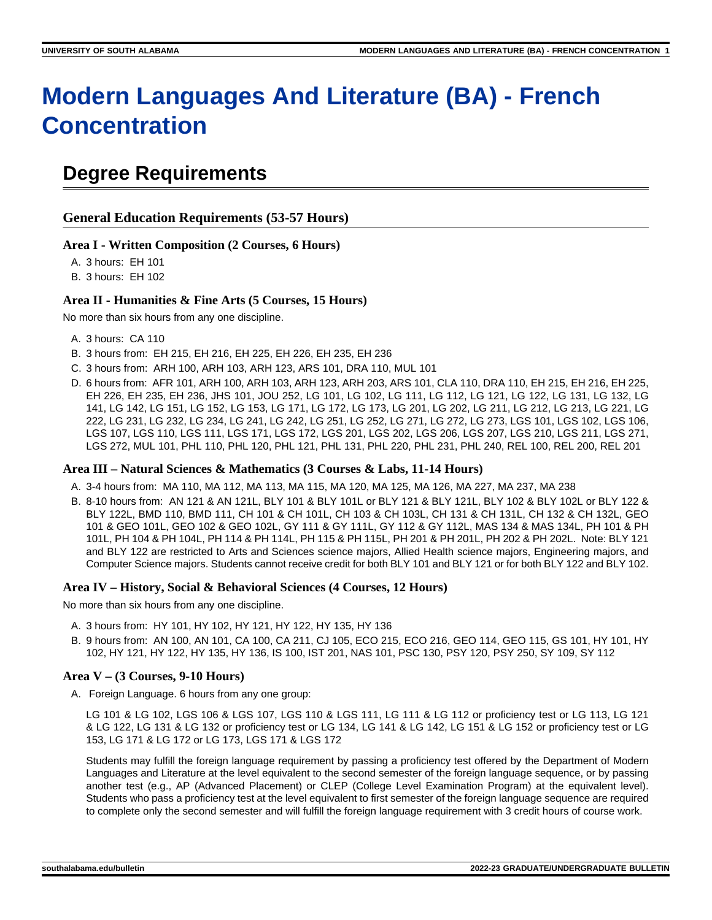# **Modern Languages And Literature (BA) - French Concentration**

## **Degree Requirements**

## **General Education Requirements (53-57 Hours)**

## **Area I - Written Composition (2 Courses, 6 Hours)**

A. 3 hours: EH 101

B. 3 hours: EH 102

## **Area II - Humanities & Fine Arts (5 Courses, 15 Hours)**

No more than six hours from any one discipline.

- A. 3 hours: CA 110
- B. 3 hours from: EH 215, EH 216, EH 225, EH 226, EH 235, EH 236
- C. 3 hours from: ARH 100, ARH 103, ARH 123, ARS 101, DRA 110, MUL 101
- D. 6 hours from: AFR 101, ARH 100, ARH 103, ARH 123, ARH 203, ARS 101, CLA 110, DRA 110, EH 215, EH 216, EH 225, EH 226, EH 235, EH 236, JHS 101, JOU 252, LG 101, LG 102, LG 111, LG 112, LG 121, LG 122, LG 131, LG 132, LG 141, LG 142, LG 151, LG 152, LG 153, LG 171, LG 172, LG 173, LG 201, LG 202, LG 211, LG 212, LG 213, LG 221, LG 222, LG 231, LG 232, LG 234, LG 241, LG 242, LG 251, LG 252, LG 271, LG 272, LG 273, LGS 101, LGS 102, LGS 106, LGS 107, LGS 110, LGS 111, LGS 171, LGS 172, LGS 201, LGS 202, LGS 206, LGS 207, LGS 210, LGS 211, LGS 271, LGS 272, MUL 101, PHL 110, PHL 120, PHL 121, PHL 131, PHL 220, PHL 231, PHL 240, REL 100, REL 200, REL 201

## **Area III – Natural Sciences & Mathematics (3 Courses & Labs, 11-14 Hours)**

- A. 3-4 hours from: MA 110, MA 112, MA 113, MA 115, MA 120, MA 125, MA 126, MA 227, MA 237, MA 238
- B. 8-10 hours from: AN 121 & AN 121L, BLY 101 & BLY 101L or BLY 121 & BLY 121L, BLY 102 & BLY 102L or BLY 122 & BLY 122L, BMD 110, BMD 111, CH 101 & CH 101L, CH 103 & CH 103L, CH 131 & CH 131L, CH 132 & CH 132L, GEO 101 & GEO 101L, GEO 102 & GEO 102L, GY 111 & GY 111L, GY 112 & GY 112L, MAS 134 & MAS 134L, PH 101 & PH 101L, PH 104 & PH 104L, PH 114 & PH 114L, PH 115 & PH 115L, PH 201 & PH 201L, PH 202 & PH 202L. Note: BLY 121 and BLY 122 are restricted to Arts and Sciences science majors, Allied Health science majors, Engineering majors, and Computer Science majors. Students cannot receive credit for both BLY 101 and BLY 121 or for both BLY 122 and BLY 102.

## **Area IV – History, Social & Behavioral Sciences (4 Courses, 12 Hours)**

No more than six hours from any one discipline.

- A. 3 hours from: HY 101, HY 102, HY 121, HY 122, HY 135, HY 136
- B. 9 hours from: AN 100, AN 101, CA 100, CA 211, CJ 105, ECO 215, ECO 216, GEO 114, GEO 115, GS 101, HY 101, HY 102, HY 121, HY 122, HY 135, HY 136, IS 100, IST 201, NAS 101, PSC 130, PSY 120, PSY 250, SY 109, SY 112

## **Area V – (3 Courses, 9-10 Hours)**

A. Foreign Language. 6 hours from any one group:

LG 101 & LG 102, LGS 106 & LGS 107, LGS 110 & LGS 111, LG 111 & LG 112 or proficiency test or LG 113, LG 121 & LG 122, LG 131 & LG 132 or proficiency test or LG 134, LG 141 & LG 142, LG 151 & LG 152 or proficiency test or LG 153, LG 171 & LG 172 or LG 173, LGS 171 & LGS 172

Students may fulfill the foreign language requirement by passing a proficiency test offered by the Department of Modern Languages and Literature at the level equivalent to the second semester of the foreign language sequence, or by passing another test (e.g., AP (Advanced Placement) or CLEP (College Level Examination Program) at the equivalent level). Students who pass a proficiency test at the level equivalent to first semester of the foreign language sequence are required to complete only the second semester and will fulfill the foreign language requirement with 3 credit hours of course work.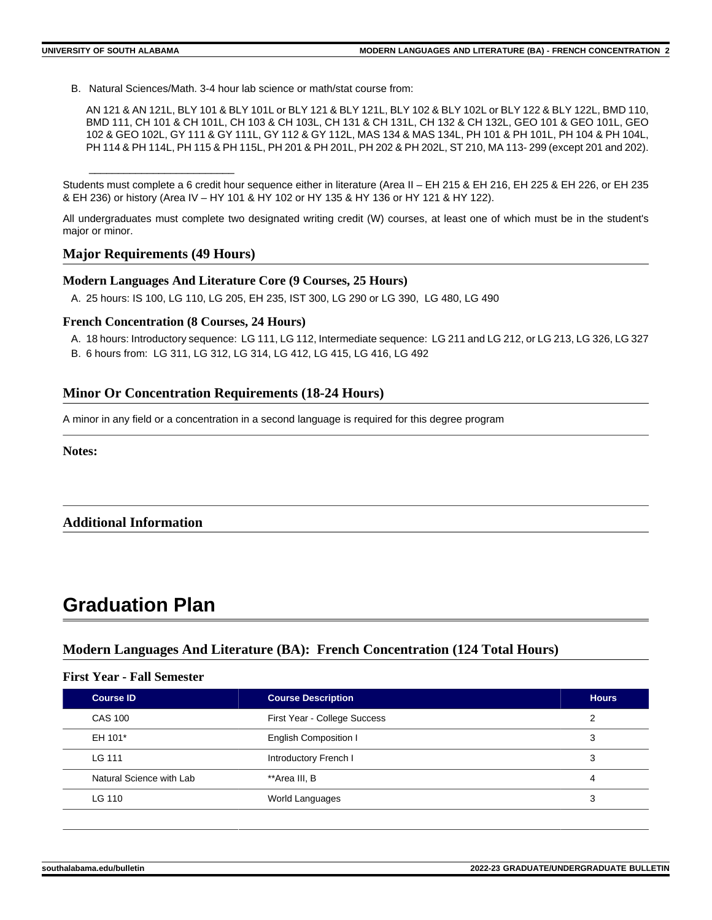B. Natural Sciences/Math. 3-4 hour lab science or math/stat course from:

AN 121 & AN 121L, BLY 101 & BLY 101L or BLY 121 & BLY 121L, BLY 102 & BLY 102L or BLY 122 & BLY 122L, BMD 110, BMD 111, CH 101 & CH 101L, CH 103 & CH 103L, CH 131 & CH 131L, CH 132 & CH 132L, GEO 101 & GEO 101L, GEO 102 & GEO 102L, GY 111 & GY 111L, GY 112 & GY 112L, MAS 134 & MAS 134L, PH 101 & PH 101L, PH 104 & PH 104L, PH 114 & PH 114L, PH 115 & PH 115L, PH 201 & PH 201L, PH 202 & PH 202L, ST 210, MA 113- 299 (except 201 and 202).

Students must complete a 6 credit hour sequence either in literature (Area II – EH 215 & EH 216, EH 225 & EH 226, or EH 235 & EH 236) or history (Area IV – HY 101 & HY 102 or HY 135 & HY 136 or HY 121 & HY 122).

All undergraduates must complete two designated writing credit (W) courses, at least one of which must be in the student's major or minor.

## **Major Requirements (49 Hours)**

\_\_\_\_\_\_\_\_\_\_\_\_\_\_\_\_\_\_\_\_\_\_\_\_\_

## **Modern Languages And Literature Core (9 Courses, 25 Hours)**

A. 25 hours: IS 100, LG 110, LG 205, EH 235, IST 300, LG 290 or LG 390, LG 480, LG 490

## **French Concentration (8 Courses, 24 Hours)**

- A. 18 hours: Introductory sequence: LG 111, LG 112, Intermediate sequence: LG 211 and LG 212, or LG 213, LG 326, LG 327
- B. 6 hours from: LG 311, LG 312, LG 314, LG 412, LG 415, LG 416, LG 492

## **Minor Or Concentration Requirements (18-24 Hours)**

A minor in any field or a concentration in a second language is required for this degree program

**Notes:**

## **Additional Information**

## **Graduation Plan**

## **Modern Languages And Literature (BA): French Concentration (124 Total Hours)**

## **First Year - Fall Semester**

| <b>Course ID</b>         | <b>Course Description</b>    | <b>Hours</b> |
|--------------------------|------------------------------|--------------|
| CAS 100                  | First Year - College Success | っ            |
| EH 101*                  | <b>English Composition I</b> | 3            |
| LG 111                   | Introductory French I        | 3            |
| Natural Science with Lab | **Area III. B                | 4            |
| LG 110                   | World Languages              | 3            |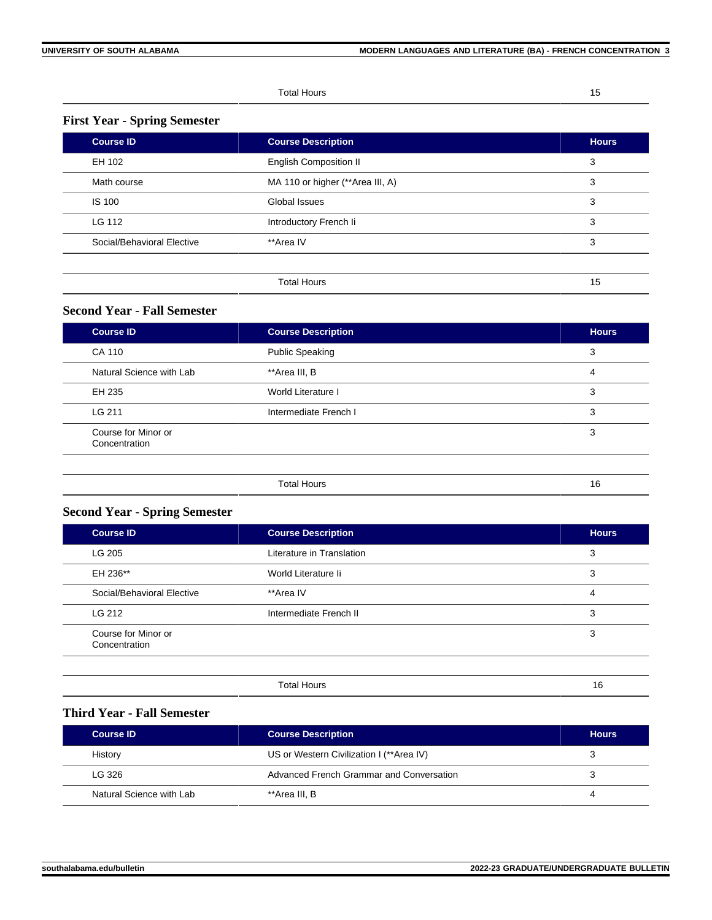#### Total Hours 15

## **First Year - Spring Semester**

| <b>Course ID</b>           | <b>Course Description</b>        | <b>Hours</b> |
|----------------------------|----------------------------------|--------------|
| EH 102                     | <b>English Composition II</b>    | 3            |
| Math course                | MA 110 or higher (**Area III, A) | 3            |
| <b>IS 100</b>              | Global Issues                    | 3            |
| LG 112                     | Introductory French li           | 3            |
| Social/Behavioral Elective | **Area IV                        | 3            |
|                            |                                  |              |
|                            | <b>Total Hours</b>               | 15           |

## **Second Year - Fall Semester**

| <b>Course ID</b>                     | <b>Course Description</b> | <b>Hours</b> |
|--------------------------------------|---------------------------|--------------|
| CA 110                               | <b>Public Speaking</b>    | 3            |
| Natural Science with Lab             | **Area III, B             | 4            |
| EH 235                               | World Literature I        | 3            |
| LG 211                               | Intermediate French I     | 3            |
| Course for Minor or<br>Concentration |                           | 3            |
|                                      | <b>Total Hours</b>        | 16           |

## **Second Year - Spring Semester**

| <b>Course ID</b>                     | <b>Course Description</b> | <b>Hours</b> |
|--------------------------------------|---------------------------|--------------|
| LG 205                               | Literature in Translation | 3            |
| EH 236**                             | World Literature li       | 3            |
| Social/Behavioral Elective           | **Area IV                 | 4            |
| LG 212                               | Intermediate French II    | 3            |
| Course for Minor or<br>Concentration |                           | 3            |
|                                      |                           |              |

| . Hours<br>ntal | . . |  |
|-----------------|-----|--|
|                 |     |  |

## **Third Year - Fall Semester**

| Course ID                | <b>Course Description</b>                | <b>Hours</b> |
|--------------------------|------------------------------------------|--------------|
| History                  | US or Western Civilization I (**Area IV) |              |
| LG 326                   | Advanced French Grammar and Conversation |              |
| Natural Science with Lab | **Area III. B                            | 4            |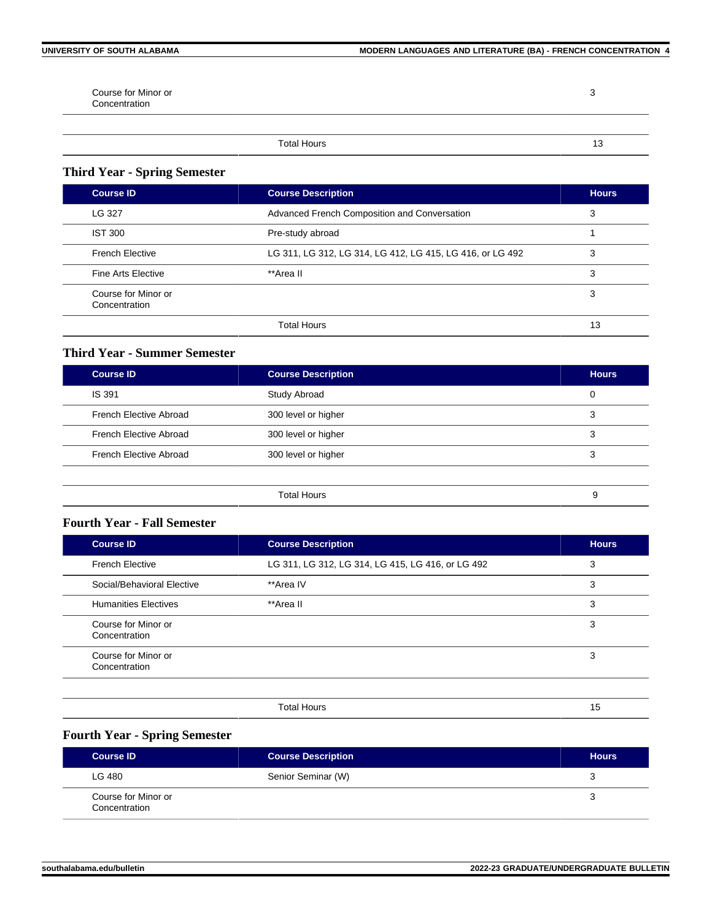3

Course for Minor or Concentration

Total Hours 13

## **Third Year - Spring Semester**

| <b>Course ID</b>                     | <b>Course Description</b>                                 | <b>Hours</b> |
|--------------------------------------|-----------------------------------------------------------|--------------|
| LG 327                               | Advanced French Composition and Conversation              | 3            |
| IST 300                              | Pre-study abroad                                          |              |
| <b>French Elective</b>               | LG 311, LG 312, LG 314, LG 412, LG 415, LG 416, or LG 492 | 3            |
| <b>Fine Arts Elective</b>            | **Area II                                                 | 3            |
| Course for Minor or<br>Concentration |                                                           | 3            |
|                                      | <b>Total Hours</b>                                        | 13           |

## **Third Year - Summer Semester**

| <b>Course ID</b>              | <b>Course Description</b> | <b>Hours</b> |
|-------------------------------|---------------------------|--------------|
| <b>IS 391</b>                 | Study Abroad              | 0            |
| <b>French Elective Abroad</b> | 300 level or higher       | 3            |
| <b>French Elective Abroad</b> | 300 level or higher       | 3            |
| French Elective Abroad        | 300 level or higher       | 3            |
|                               |                           |              |
|                               | <b>Total Hours</b>        | 9            |

## **Fourth Year - Fall Semester**

| <b>Course ID</b>                     | <b>Course Description</b>                         | <b>Hours</b> |
|--------------------------------------|---------------------------------------------------|--------------|
| <b>French Elective</b>               | LG 311, LG 312, LG 314, LG 415, LG 416, or LG 492 | 3            |
| Social/Behavioral Elective           | **Area IV                                         | 3            |
| <b>Humanities Electives</b>          | **Area II                                         | 3            |
| Course for Minor or<br>Concentration |                                                   | 3            |
| Course for Minor or<br>Concentration |                                                   | 3            |
|                                      |                                                   |              |

Total Hours 15

## **Fourth Year - Spring Semester**

| <b>Course ID</b>                     | <b>Course Description</b> | <b>Hours</b> |
|--------------------------------------|---------------------------|--------------|
| LG 480                               | Senior Seminar (W)        | 3            |
| Course for Minor or<br>Concentration |                           |              |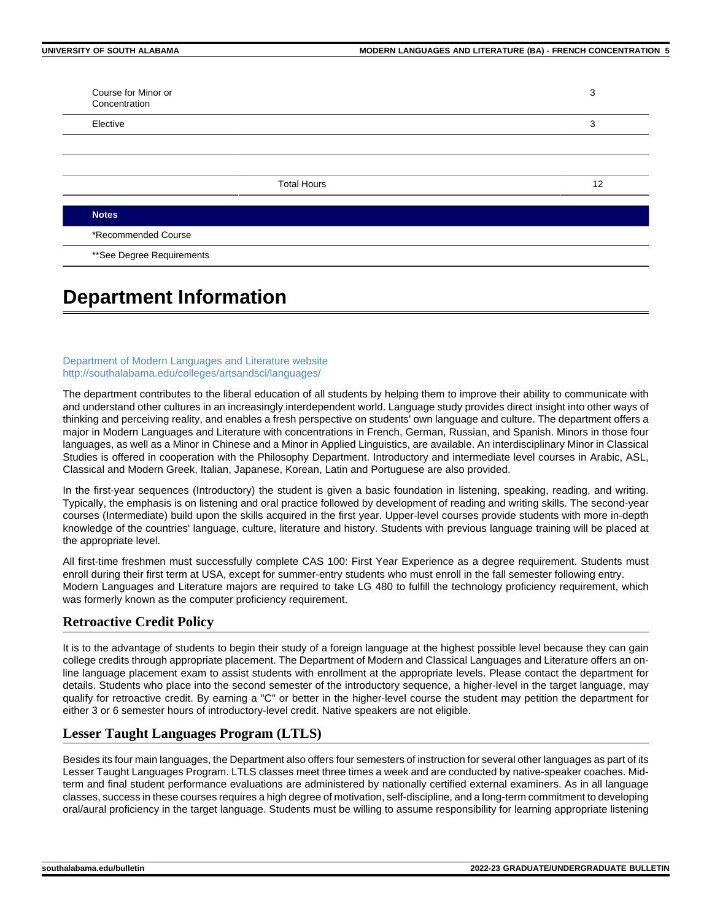| Elective |                    | 3  |
|----------|--------------------|----|
|          |                    |    |
|          |                    |    |
|          | <b>Total Hours</b> | 12 |

\*\*See Degree Requirements

## **Department Information**

#### [Department of Modern Languages and Literature website](http://southalabama.edu/colleges/artsandsci/languages/) <http://southalabama.edu/colleges/artsandsci/languages/>

The department contributes to the liberal education of all students by helping them to improve their ability to communicate with and understand other cultures in an increasingly interdependent world. Language study provides direct insight into other ways of thinking and perceiving reality, and enables a fresh perspective on students' own language and culture. The department offers a major in Modern Languages and Literature with concentrations in French, German, Russian, and Spanish. Minors in those four languages, as well as a Minor in Chinese and a Minor in Applied Linguistics, are available. An interdisciplinary Minor in Classical Studies is offered in cooperation with the Philosophy Department. Introductory and intermediate level courses in Arabic, ASL, Classical and Modern Greek, Italian, Japanese, Korean, Latin and Portuguese are also provided.

In the first-year sequences (Introductory) the student is given a basic foundation in listening, speaking, reading, and writing. Typically, the emphasis is on listening and oral practice followed by development of reading and writing skills. The second-year courses (Intermediate) build upon the skills acquired in the first year. Upper-level courses provide students with more in-depth knowledge of the countries' language, culture, literature and history. Students with previous language training will be placed at the appropriate level.

All first-time freshmen must successfully complete CAS 100: First Year Experience as a degree requirement. Students must enroll during their first term at USA, except for summer-entry students who must enroll in the fall semester following entry. Modern Languages and Literature majors are required to take LG 480 to fulfill the technology proficiency requirement, which was formerly known as the computer proficiency requirement.

## **Retroactive Credit Policy**

It is to the advantage of students to begin their study of a foreign language at the highest possible level because they can gain college credits through appropriate placement. The Department of Modern and Classical Languages and Literature offers an online language placement exam to assist students with enrollment at the appropriate levels. Please contact the department for details. Students who place into the second semester of the introductory sequence, a higher-level in the target language, may qualify for retroactive credit. By earning a "C" or better in the higher-level course the student may petition the department for either 3 or 6 semester hours of introductory-level credit. Native speakers are not eligible.

## **Lesser Taught Languages Program (LTLS)**

Besides its four main languages, the Department also offers four semesters of instruction for several other languages as part of its Lesser Taught Languages Program. LTLS classes meet three times a week and are conducted by native-speaker coaches. Midterm and final student performance evaluations are administered by nationally certified external examiners. As in all language classes, success in these courses requires a high degree of motivation, self-discipline, and a long-term commitment to developing oral/aural proficiency in the target language. Students must be willing to assume responsibility for learning appropriate listening